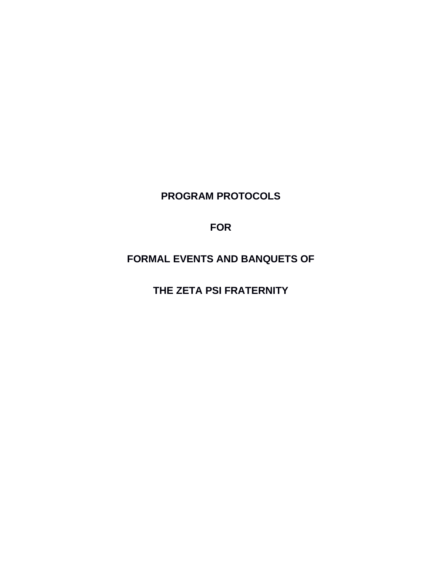**PROGRAM PROTOCOLS** 

**FOR**

**FORMAL EVENTS AND BANQUETS OF**

**THE ZETA PSI FRATERNITY**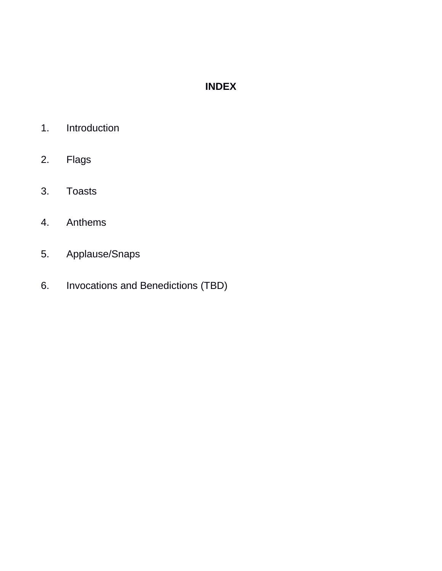# **INDEX**

- 1. Introduction
- 2. Flags
- 3. Toasts
- 4. Anthems
- 5. Applause/Snaps
- 6. Invocations and Benedictions (TBD)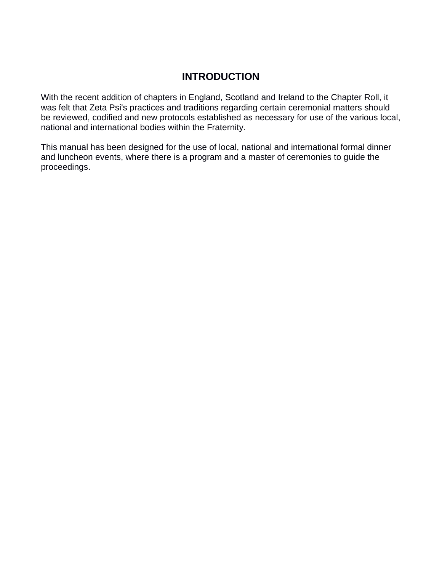#### **INTRODUCTION**

With the recent addition of chapters in England, Scotland and Ireland to the Chapter Roll, it was felt that Zeta Psi's practices and traditions regarding certain ceremonial matters should be reviewed, codified and new protocols established as necessary for use of the various local, national and international bodies within the Fraternity.

This manual has been designed for the use of local, national and international formal dinner and luncheon events, where there is a program and a master of ceremonies to guide the proceedings.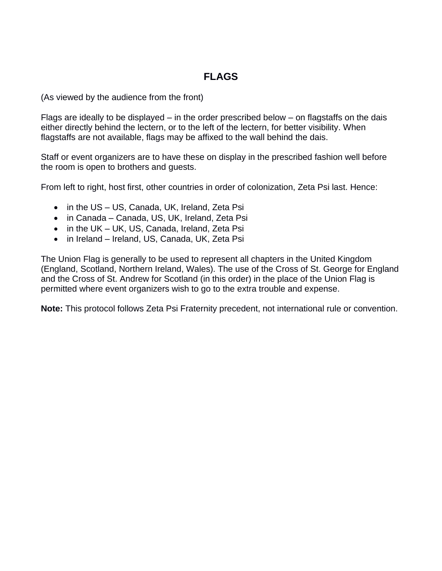#### **FLAGS**

(As viewed by the audience from the front)

Flags are ideally to be displayed – in the order prescribed below – on flagstaffs on the dais either directly behind the lectern, or to the left of the lectern, for better visibility. When flagstaffs are not available, flags may be affixed to the wall behind the dais.

Staff or event organizers are to have these on display in the prescribed fashion well before the room is open to brothers and guests.

From left to right, host first, other countries in order of colonization, Zeta Psi last. Hence:

- in the US US, Canada, UK, Ireland, Zeta Psi
- in Canada Canada, US, UK, Ireland, Zeta Psi
- in the UK UK, US, Canada, Ireland, Zeta Psi
- in Ireland Ireland, US, Canada, UK, Zeta Psi

The Union Flag is generally to be used to represent all chapters in the United Kingdom (England, Scotland, Northern Ireland, Wales). The use of the Cross of St. George for England and the Cross of St. Andrew for Scotland (in this order) in the place of the Union Flag is permitted where event organizers wish to go to the extra trouble and expense.

**Note:** This protocol follows Zeta Psi Fraternity precedent, not international rule or convention.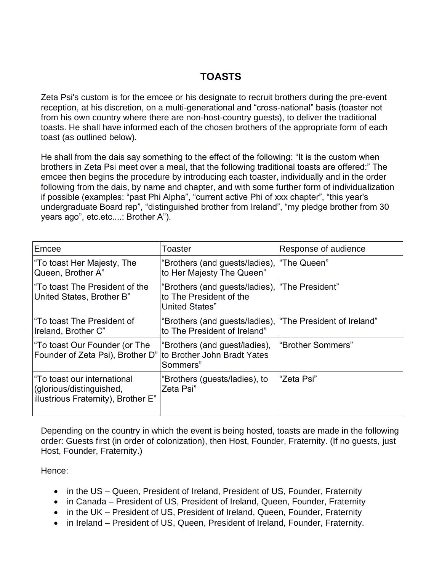#### **TOASTS**

Zeta Psi's custom is for the emcee or his designate to recruit brothers during the pre-event reception, at his discretion, on a multi-generational and "cross-national" basis (toaster not from his own country where there are non-host-country guests), to deliver the traditional toasts. He shall have informed each of the chosen brothers of the appropriate form of each toast (as outlined below).

He shall from the dais say something to the effect of the following: "It is the custom when brothers in Zeta Psi meet over a meal, that the following traditional toasts are offered:" The emcee then begins the procedure by introducing each toaster, individually and in the order following from the dais, by name and chapter, and with some further form of individualization if possible (examples: "past Phi Alpha", "current active Phi of xxx chapter", "this year's undergraduate Board rep", "distinguished brother from Ireland", "my pledge brother from 30 years ago", etc.etc....: Brother A").

| Emcee                                                                                          | Toaster                                                                                              | Response of audience |
|------------------------------------------------------------------------------------------------|------------------------------------------------------------------------------------------------------|----------------------|
| "To toast Her Majesty, The<br>Queen, Brother A"                                                | "Brothers (and guests/ladies),   "The Queen"<br>to Her Majesty The Queen"                            |                      |
| l"To toast The President of the<br>United States, Brother B"                                   | "Brothers (and guests/ladies),   "The President"<br>to The President of the<br><b>United States"</b> |                      |
| l"To toast The President of<br>Ireland, Brother C"                                             | "Brothers (and guests/ladies),   "The President of Ireland"<br>to The President of Ireland"          |                      |
| To toast Our Founder (or The<br>Founder of Zeta Psi), Brother D"                               | "Brothers (and guest/ladies),<br>to Brother John Bradt Yates<br>Sommers"                             | "Brother Sommers"    |
| "To toast our international<br>(glorious/distinguished,<br>illustrious Fraternity), Brother E" | "Brothers (guests/ladies), to<br>Zeta Psi"                                                           | "Zeta Psi"           |

Depending on the country in which the event is being hosted, toasts are made in the following order: Guests first (in order of colonization), then Host, Founder, Fraternity. (If no guests, just Host, Founder, Fraternity.)

Hence:

- in the US Queen, President of Ireland, President of US, Founder, Fraternity
- in Canada President of US, President of Ireland, Queen, Founder, Fraternity
- in the UK President of US, President of Ireland, Queen, Founder, Fraternity
- in Ireland President of US, Queen, President of Ireland, Founder, Fraternity.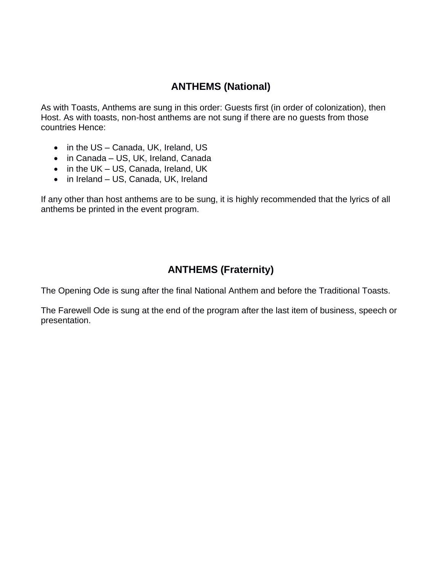## **ANTHEMS (National)**

As with Toasts, Anthems are sung in this order: Guests first (in order of colonization), then Host. As with toasts, non-host anthems are not sung if there are no guests from those countries Hence:

- in the US Canada, UK, Ireland, US
- in Canada US, UK, Ireland, Canada
- in the UK US, Canada, Ireland, UK
- in Ireland US, Canada, UK, Ireland

If any other than host anthems are to be sung, it is highly recommended that the lyrics of all anthems be printed in the event program.

### **ANTHEMS (Fraternity)**

The Opening Ode is sung after the final National Anthem and before the Traditional Toasts.

The Farewell Ode is sung at the end of the program after the last item of business, speech or presentation.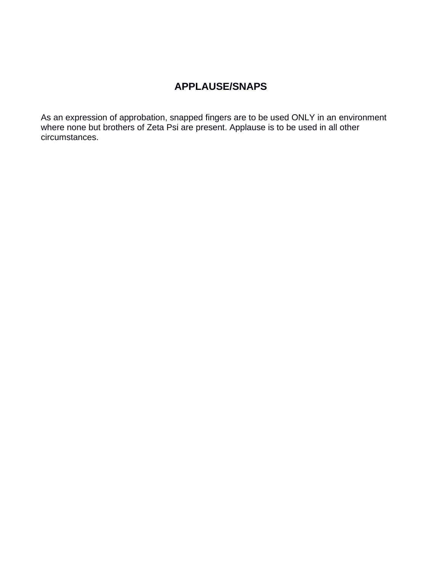## **APPLAUSE/SNAPS**

As an expression of approbation, snapped fingers are to be used ONLY in an environment where none but brothers of Zeta Psi are present. Applause is to be used in all other circumstances.